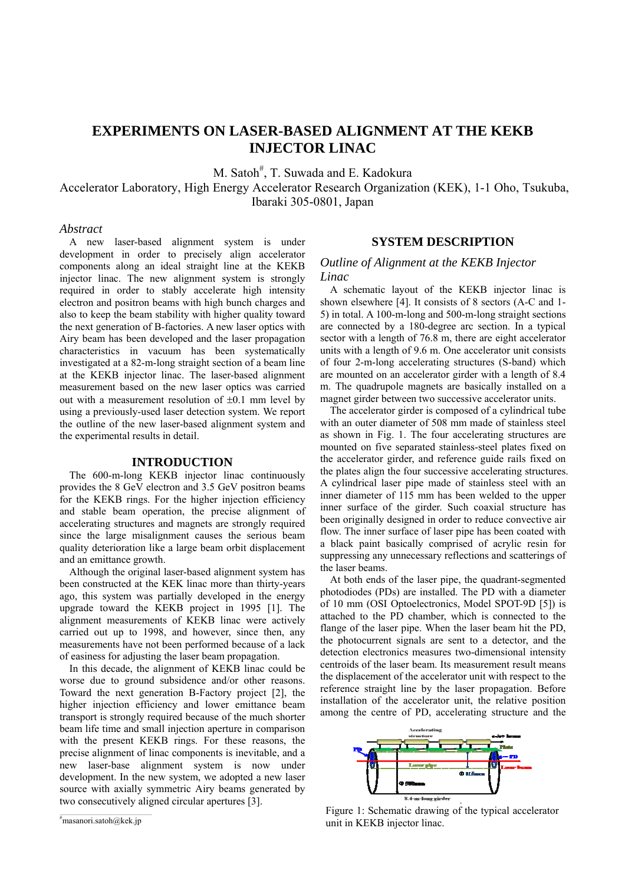# **EXPERIMENTS ON LASER-BASED ALIGNMENT AT THE KEKB INJECTOR LINAC**

M. Satoh<sup>#</sup>, T. Suwada and E. Kadokura

Accelerator Laboratory, High Energy Accelerator Research Organization (KEK), 1-1 Oho, Tsukuba, Ibaraki 305-0801, Japan

## *Abstract*

A new laser-based alignment system is under development in order to precisely align accelerator components along an ideal straight line at the KEKB injector linac. The new alignment system is strongly required in order to stably accelerate high intensity electron and positron beams with high bunch charges and also to keep the beam stability with higher quality toward the next generation of B-factories. A new laser optics with Airy beam has been developed and the laser propagation characteristics in vacuum has been systematically investigated at a 82-m-long straight section of a beam line at the KEKB injector linac. The laser-based alignment measurement based on the new laser optics was carried out with a measurement resolution of  $\pm 0.1$  mm level by using a previously-used laser detection system. We report the outline of the new laser-based alignment system and the experimental results in detail.

## **INTRODUCTION**

The 600-m-long KEKB injector linac continuously provides the 8 GeV electron and 3.5 GeV positron beams for the KEKB rings. For the higher injection efficiency and stable beam operation, the precise alignment of accelerating structures and magnets are strongly required since the large misalignment causes the serious beam quality deterioration like a large beam orbit displacement and an emittance growth.

Although the original laser-based alignment system has been constructed at the KEK linac more than thirty-years ago, this system was partially developed in the energy upgrade toward the KEKB project in 1995 [1]. The alignment measurements of KEKB linac were actively carried out up to 1998, and however, since then, any measurements have not been performed because of a lack of easiness for adjusting the laser beam propagation.

In this decade, the alignment of KEKB linac could be worse due to ground subsidence and/or other reasons. Toward the next generation B-Factory project [2], the higher injection efficiency and lower emittance beam transport is strongly required because of the much shorter beam life time and small injection aperture in comparison with the present KEKB rings. For these reasons, the precise alignment of linac components is inevitable, and a new laser-base alignment system is now under development. In the new system, we adopted a new laser source with axially symmetric Airy beams generated by two consecutively aligned circular apertures [3].

# **SYSTEM DESCRIPTION**

# *Outline of Alignment at the KEKB Injector Linac*

A schematic layout of the KEKB injector linac is shown elsewhere [4]. It consists of 8 sectors (A-C and 1- 5) in total. A 100-m-long and 500-m-long straight sections are connected by a 180-degree arc section. In a typical sector with a length of 76.8 m, there are eight accelerator units with a length of 9.6 m. One accelerator unit consists of four 2-m-long accelerating structures (S-band) which are mounted on an accelerator girder with a length of 8.4 m. The quadrupole magnets are basically installed on a magnet girder between two successive accelerator units.

The accelerator girder is composed of a cylindrical tube with an outer diameter of 508 mm made of stainless steel as shown in Fig. 1. The four accelerating structures are mounted on five separated stainless-steel plates fixed on the accelerator girder, and reference guide rails fixed on the plates align the four successive accelerating structures. A cylindrical laser pipe made of stainless steel with an inner diameter of 115 mm has been welded to the upper inner surface of the girder. Such coaxial structure has been originally designed in order to reduce convective air flow. The inner surface of laser pipe has been coated with a black paint basically comprised of acrylic resin for suppressing any unnecessary reflections and scatterings of the laser beams.

At both ends of the laser pipe, the quadrant-segmented photodiodes (PDs) are installed. The PD with a diameter of 10 mm (OSI Optoelectronics, Model SPOT-9D [5]) is attached to the PD chamber, which is connected to the flange of the laser pipe. When the laser beam hit the PD, the photocurrent signals are sent to a detector, and the detection electronics measures two-dimensional intensity centroids of the laser beam. Its measurement result means the displacement of the accelerator unit with respect to the reference straight line by the laser propagation. Before installation of the accelerator unit, the relative position among the centre of PD, accelerating structure and the



Figure 1: Schematic drawing of the typical accelerator unit in KEKB injector linac.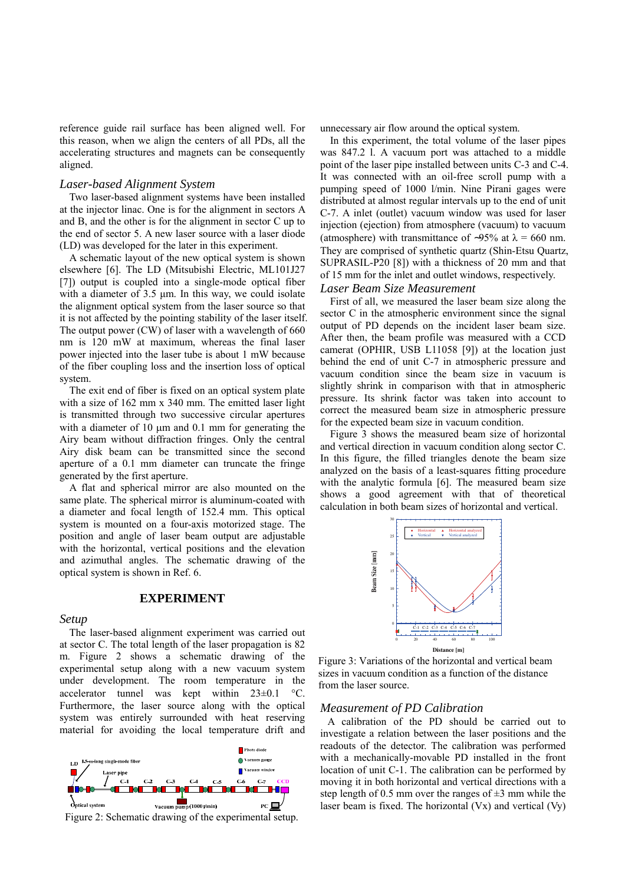reference guide rail surface has been aligned well. For this reason, when we align the centers of all PDs, all the accelerating structures and magnets can be consequently aligned.

#### *Laser-based Alignment System*

Two laser-based alignment systems have been installed at the injector linac. One is for the alignment in sectors A and B, and the other is for the alignment in sector C up to the end of sector 5. A new laser source with a laser diode (LD) was developed for the later in this experiment.

A schematic layout of the new optical system is shown elsewhere [6]. The LD (Mitsubishi Electric, ML101J27 [7]) output is coupled into a single-mode optical fiber with a diameter of 3.5 µm. In this way, we could isolate the alignment optical system from the laser source so that it is not affected by the pointing stability of the laser itself. The output power (CW) of laser with a wavelength of 660 nm is 120 mW at maximum, whereas the final laser power injected into the laser tube is about 1 mW because of the fiber coupling loss and the insertion loss of optical system.

The exit end of fiber is fixed on an optical system plate with a size of 162 mm x 340 mm. The emitted laser light is transmitted through two successive circular apertures with a diameter of  $10 \mu m$  and  $0.1 \mu m$  for generating the Airy beam without diffraction fringes. Only the central Airy disk beam can be transmitted since the second aperture of a 0.1 mm diameter can truncate the fringe generated by the first aperture.

A flat and spherical mirror are also mounted on the same plate. The spherical mirror is aluminum-coated with a diameter and focal length of 152.4 mm. This optical system is mounted on a four-axis motorized stage. The position and angle of laser beam output are adjustable with the horizontal, vertical positions and the elevation and azimuthal angles. The schematic drawing of the optical system is shown in Ref. 6.

## **EXPERIMENT**

#### *Setup*

The laser-based alignment experiment was carried out at sector C. The total length of the laser propagation is 82 m. Figure 2 shows a schematic drawing of the experimental setup along with a new vacuum system under development. The room temperature in the accelerator tunnel was kept within 23±0.1 °C. Furthermore, the laser source along with the optical system was entirely surrounded with heat reserving material for avoiding the local temperature drift and



Figure 2: Schematic drawing of the experimental setup.

unnecessary air flow around the optical system.

In this experiment, the total volume of the laser pipes was 847.2 l. A vacuum port was attached to a middle point of the laser pipe installed between units C-3 and C-4. It was connected with an oil-free scroll pump with a pumping speed of 1000 l/min. Nine Pirani gages were distributed at almost regular intervals up to the end of unit C-7. A inlet (outlet) vacuum window was used for laser injection (ejection) from atmosphere (vacuum) to vacuum (atmosphere) with transmittance of ~95% at  $\lambda = 660$  nm. They are comprised of synthetic quartz (Shin-Etsu Quartz, SUPRASIL-P20 [8]) with a thickness of 20 mm and that of 15 mm for the inlet and outlet windows, respectively.

#### *Laser Beam Size Measurement*

First of all, we measured the laser beam size along the sector C in the atmospheric environment since the signal output of PD depends on the incident laser beam size. After then, the beam profile was measured with a CCD camerat (OPHIR, USB L11058 [9]) at the location just behind the end of unit C-7 in atmospheric pressure and vacuum condition since the beam size in vacuum is slightly shrink in comparison with that in atmospheric pressure. Its shrink factor was taken into account to correct the measured beam size in atmospheric pressure for the expected beam size in vacuum condition.

Figure 3 shows the measured beam size of horizontal and vertical direction in vacuum condition along sector C. In this figure, the filled triangles denote the beam size analyzed on the basis of a least-squares fitting procedure with the analytic formula [6]. The measured beam size shows a good agreement with that of theoretical calculation in both beam sizes of horizontal and vertical.



Figure 3: Variations of the horizontal and vertical beam sizes in vacuum condition as a function of the distance from the laser source.

## *Measurement of PD Calibration*

A calibration of the PD should be carried out to investigate a relation between the laser positions and the readouts of the detector. The calibration was performed with a mechanically-movable PD installed in the front location of unit C-1. The calibration can be performed by moving it in both horizontal and vertical directions with a step length of 0.5 mm over the ranges of  $\pm 3$  mm while the laser beam is fixed. The horizontal (Vx) and vertical (Vy)